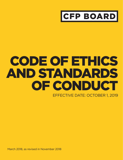

# CODE OF ETHICS AND STANDARDS OF CONDUCT EFFECTIVE DATE: OCTOBER 1, 2019

March 2018, as revised in November 2018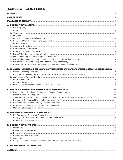# **TABLE OF CONTENTS**

|  | 8. |                                                                                                             |  |
|--|----|-------------------------------------------------------------------------------------------------------------|--|
|  |    |                                                                                                             |  |
|  |    |                                                                                                             |  |
|  |    |                                                                                                             |  |
|  |    |                                                                                                             |  |
|  |    |                                                                                                             |  |
|  |    |                                                                                                             |  |
|  |    |                                                                                                             |  |
|  |    | <b>B. FINANCIAL PLANNING AND APPLICATION OF THE PRACTICE STANDARDS FOR THE FINANCIAL PLANNING PROCESS 9</b> |  |
|  | 1. |                                                                                                             |  |
|  |    |                                                                                                             |  |
|  |    |                                                                                                             |  |
|  |    |                                                                                                             |  |
|  |    |                                                                                                             |  |
|  |    |                                                                                                             |  |
|  |    |                                                                                                             |  |
|  |    |                                                                                                             |  |
|  |    |                                                                                                             |  |
|  |    |                                                                                                             |  |
|  |    |                                                                                                             |  |
|  |    |                                                                                                             |  |
|  |    |                                                                                                             |  |
|  |    |                                                                                                             |  |
|  |    |                                                                                                             |  |
|  |    |                                                                                                             |  |
|  | 2. |                                                                                                             |  |
|  |    |                                                                                                             |  |
|  |    |                                                                                                             |  |
|  | 1. |                                                                                                             |  |
|  | 2. |                                                                                                             |  |
|  | 3. |                                                                                                             |  |
|  | 5. |                                                                                                             |  |
|  |    |                                                                                                             |  |
|  |    |                                                                                                             |  |
|  |    |                                                                                                             |  |
|  |    |                                                                                                             |  |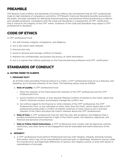# <span id="page-2-0"></span>PREAMBLE

CFP Board's *Code of Ethics and Standards of Conduct* reflects the commitment that all CFP® professionals make to high standards of competency and ethics. CFP Board's *Code and Standards* benefits and protects the public, provides standards for delivering financial planning, and advances financial planning as a distinct and valuable profession. Compliance with the *Code and Standards* is a requirement of CFP® certification that is critical to the integrity of the CFP® marks. Violations of the *Code and Standards* may subject a CFP® professional to discipline.

# CODE OF ETHICS

A CFP® professional must:

- 1. Act with honesty, integrity, competence, and diligence.
- 2. Act in the client's best interests.
- 3. Exercise due care.
- 4. Avoid or disclose and manage conflicts of interest.
- 5. Maintain the confidentiality and protect the privacy of client information.
- 6. Act in a manner that reflects positively on the financial planning profession and CFP® certification.

# STANDARDS OF CONDUCT

# A. DUTIES OWED TO CLIENTS

# 1. FIDUCIARY DUTY

At all times when providing Financial Advice to a Client, a CFP® professional must act as a fiduciary, and therefore, act in the best interests of the Client. The following duties must be fulfilled:

- a. Duty of Loyalty. A CFP® professional must:
	- i. Place the interests of the Client above the interests of the CFP® professional and the CFP® Professional's Firm;
	- ii. Avoid Conflicts of Interest, or fully disclose Material Conflicts of Interest to the Client, obtain the Client's informed consent, and properly manage the conflict; and
	- iii. Act without regard to the financial or other interests of the CFP® professional, the CFP® Professional's Firm, or any individual or entity other than the Client, which means that a CFP® professional acting under a Conflict of Interest continues to have a duty to act in the best interests of the Client and place the Client's interests above the CFP® professional's.
- b. **Duty of Care.** A CFP® professional must act with the care, skill, prudence, and diligence that a prudent professional would exercise in light of the Client's goals, risk tolerance, objectives, and financial and personal circumstances.
- c. **Duty to Follow Client Instructions.** A CFP® professional must comply with all objectives, policies, restrictions, and other terms of the Engagement and all reasonable and lawful directions of the Client.

# 2. INTEGRITY

a. A CFP® professional must perform Professional Services with integrity. Integrity demands honesty and candor, which may not be subordinated to personal gain or advantage. Allowance may be made for innocent error and legitimate differences of opinion, but integrity cannot co-exist with deceit or subordination of principle.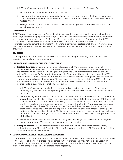- <span id="page-3-0"></span>b. A CFP® professional may not, directly or indirectly, in the conduct of Professional Services:
	- i. Employ any device, scheme, or artifice to defraud;
	- ii. Make any untrue statement of a material fact or omit to state a material fact necessary in order to make the statements made, in the light of the circumstances under which they were made, not misleading; or
	- iii. Engage in any act, practice, or course of business which operates or would operate as a fraud or deceit upon any person.

#### 3. COMPETENCE

A CFP® professional must provide Professional Services with competence, which means with relevant knowledge and skill to apply that knowledge. When the CFP® professional is not sufficiently competent in a particular area to provide the Professional Services required under the Engagement, the CFP® professional must gain competence, obtain the assistance of a competent professional, limit or terminate the Engagement, and/or refer the Client to a competent professional. The CFP® professional shall describe to the Client any requested Professional Services that the CFP® professional will not be providing.

# 4. DILIGENCE

A CFP® professional must provide Professional Services, including responding to reasonable Client inquiries, in a timely and thorough manner.

#### 5. DISCLOSE AND MANAGE CONFLICTS OF INTEREST

- a. **Disclose Conflicts.** When providing Financial Advice, a CFP® professional must make full disclosure of all Material Conflicts of Interest with the CFP® professional's Client that could affect the professional relationship. This obligation requires the CFP® professional to provide the Client with sufficiently specific facts so that a reasonable Client would be able to understand the CFP® professional's Material Conflicts of Interest and the business practices that give rise to the conflicts, and give informed consent to such conflicts or reject them. A sincere belief by a CFP® professional with a Material Conflict of Interest that he or she is acting in the best interests of the Client is insufficient to excuse failure to make full disclosure.
	- i. A CFP® professional must make full disclosure and obtain the consent of the Client before providing any Financial Advice regarding which the CFP® professional has a Material Conflict of Interest.
	- ii. In determining whether the disclosure about a Material Conflict of Interest provided to the Client was sufficient to infer that a Client has consented to a Material Conflict of Interest, CFP Board will evaluate whether a reasonable Client receiving the disclosure would have understood the conflict and how it could affect the advice the Client will receive from the CFP® professional. The greater the potential harm the conflict presents to the Client, and the more significantly a business practice that gives rise to the conflict departs from commonly accepted practices among CFP® professionals, the less likely it is that CFP Board will infer informed consent absent clear evidence of informed consent. Ambiguity in the disclosure provided to the Client will be interpreted in favor of the Client.
	- iii. Evidence of oral disclosure of a conflict will be given such weight as CFP Board in its judgment deems appropriate. Written consent to a conflict is not required.
- b. **Manage Conflicts.** A CFP® professional must adopt and follow business practices reasonably designed to prevent Material Conflicts of Interest from compromising the CFP® professional's ability to act in the Client's best interests.

#### 6. SOUND AND OBJECTIVE PROFESSIONAL JUDGMENT

A CFP® professional must exercise professional judgment on behalf of the Client that is not subordinated to the interest of the CFP® professional or others. A CFP® professional may not solicit or accept any gift, gratuity, entertainment, non-cash compensation, or other consideration that reasonably could be expected to compromise the CFP® professional's objectivity.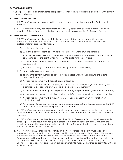#### <span id="page-4-0"></span>7. PROFESSIONALISM

A CFP® professional must treat Clients, prospective Clients, fellow professionals, and others with dignity, courtesy, and respect.

#### 8. COMPLY WITH THE LAW

- a. A CFP® professional must comply with the laws, rules, and regulations governing Professional Services.
- b. A CFP® professional may not intentionally or recklessly participate or assist in another person's violation of these *Standards* or the laws, rules, or regulations governing Professional Services.

#### 9. CONFIDENTIALITY AND PRIVACY

- a. A CFP® professional must keep confidential and may not disclose any non-public personal information about any prospective, current, or former Client ("client"), except that the CFP® professional may disclose information:
	- i. For ordinary business purposes:
		- a) With the client's consent, so long as the client has not withdrawn the consent;
		- b) To a CFP® Professional's Firm or other persons with whom the CFP® professional is providing services to or for the client, when necessary to perform those services;
		- c) As necessary to provide information to the CFP® professional's attorneys, accountants, and auditors; and
		- d) To a person acting in a representative capacity on behalf of the client;
	- ii. For legal and enforcement purposes:
		- a) To law enforcement authorities concerning suspected unlawful activities, to the extent permitted by the law;
		- b) As required to comply with federal, state, or local law;
		- c) As required to comply with a properly authorized civil, criminal, or regulatory investigation or examination, or subpoena or summons, by a governmental authority;
		- d) As necessary to defend against allegations of wrongdoing made by a governmental authority;
		- e) As necessary to present a civil claim against, or defend against a civil claim raised by, a client;
		- f) As required to comply with a request from CFP Board concerning an investigation or adjudication; and
		- g) As necessary to provide information to professional organizations that are assessing the CFP® professional's compliance with professional standards.
- b. A CFP® professional may not use any non-public personal information about a client for his or her direct or indirect personal benefit, whether or not it causes detriment to the client, unless the client consents.
- c. A CFP® professional, either directly or through the CFP® Professional's Firm, must take reasonable steps to protect the security of non-public personal information about any client, including the security of information stored physically or electronically, from unauthorized access that could result in harm or inconvenience to the client.
- d. A CFP® professional, either directly or through the CFP® Professional's Firm, must adopt and implement policies regarding the protection, handling, and sharing of a client's non-public personal information and must provide a client with written notice of those policies at the time of the Engagement and thereafter not less than annually (at least once in any 12-month period) unless (i) the CFP® professional's policies have not changed since the last notice sent to a client; and (ii) the CFP® professional does not disclose non-public personal information other than as permitted without a client's consent.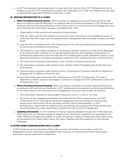<span id="page-5-0"></span>e. A CFP® professional shall be deemed to comply with this Section if the CFP® Professional's Firm is subject to, and the CFP® professional complies with, Regulation S-P under the federal securities laws or substantially equivalent federal or state laws or rules.

#### 10. PROVIDE INFORMATION TO A CLIENT

- a. When Providing Financial Advice. When providing or agreeing to provide Financial Advice that does not require Financial Planning in accordance with the Practice Standards, a CFP® professional must provide the following information to the Client, prior to or at the time of the Engagement, and document that the information has been provided to the Client:
	- i. A description of the services and products to be provided;
	- ii. How the Client pays for the products and services, and a description of the additional types of costs that the Client may incur, including product management fees, surrender charges, and sales loads;
	- iii. How the CFP® professional, the CFP® Professional's Firm, and any Related Party are compensated for providing the products and services;
	- iv. The existence of any public discipline or bankruptcy, and the location(s), if any, of the webpages of all relevant public websites of any governmental authority, self-regulatory organization, or professional organization that sets forth the CFP® professional's public disciplinary history or any personal bankruptcy or business bankruptcy where the CFP® professional was a Control Person;
	- v. The information required under Section A.5.a. (Conflict of Interest Disclosure);
	- vi. The information required under Section A.9.d. (Written Notice Regarding Non-Public Personal Information);
	- vii. The information required under Section A.13.a.ii. (Disclosure of Economic Benefit for Referral or Engagement of Additional Persons); and
	- viii. Any other information about the  $\mathsf{CFP}^{\mathsf{P}}$  professional or the  $\mathsf{CFP}^{\mathsf{P}}$  Professional's Firm that is Material to a Client's decision to engage or continue to engage the CFP® professional or the CFP® Professional's Firm.
- b. **When Providing Financial Planning.** When providing or required to provide Financial Planning in accordance with the Practice Standards, a CFP® professional must provide the following information to the Client, prior to or at the time of the Engagement, in one or more written documents:
	- i. The information required to be provided in Sections A.10.a.i.-iv. and vi.-viii.; and
	- ii. The terms of the Engagement between the Client and the  $\text{CFP}^*$  professional or the  $\text{CFP}^*$ Professional's Firm, including the Scope of Engagement and any limitations, the period(s) during which the services will be provided, and the Client's responsibilities. A CFP® professional is responsible for implementing, monitoring, and updating the Financial Planning recommendation(s) unless specifically excluded from the Scope of Engagement.
- c. **Updating Information.** A CFP<sup>®</sup> professional has an ongoing obligation to provide to the Client any information that is a Material change or update to the information required to be provided to the Client. Material changes and updates to public disciplinary history or bankruptcy information must be disclosed to the Client within ninety (90) days, together with the location(s) of the relevant webpages.

#### 11. DUTIES WHEN COMMUNICATING WITH A CLIENT

A CFP® professional must provide a Client with accurate information, in accordance with the Engagement, and in response to reasonable Client requests, in a manner and format that a Client reasonably may be expected to understand.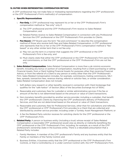#### <span id="page-6-0"></span>12. DUTIES WHEN REPRESENTING COMPENSATION METHOD

A CFP® professional may not make false or misleading representations regarding the CFP® professional's or the CFP® Professional's Firm's method(s) of compensation.

#### a. Specific Representations

- i. **Fee-Only.** A CFP® professional may represent his or her or the CFP® Professional's Firm's compensation method as "fee-only" only if:
	- a) The CFP® professional and the CFP® Professional's Firm receive no Sales-Related Compensation; and
	- b) Related Parties receive no Sales-Related Compensation in connection with any Professional Services the CFP® professional or the CFP® Professional's Firm provides to Clients.
- ii. Fee-Based. CFP Board uses the term "fee and commission" to describe the compensation method of those who receive both fees and Sales-Related Compensation. A CFP® professional who represents that his or her or the CFP® Professional's Firm's compensation method is "feebased" or any other similar term that is not fee-only:
	- a) May not use the term in a manner that suggests the CFP® professional or the CFP® Professional's Firm is fee-only; and
	- b) Must clearly state that either the CFP® professional or the CFP® Professional's Firm earns fees and commissions, or that the CFP® professional or the CFP® Professional's Firm are not feeonly.
- b. Sales-Related Compensation. Sales-Related Compensation is more than a *de minimis* economic benefit, including any bonus or portion of compensation, resulting from a Client purchasing or selling Financial Assets, from a Client holding Financial Assets for purposes other than receiving Financial Advice, or from the referral of a Client to any person or entity other than the CFP® Professional's Firm. Sales-Related Compensation includes, for example, commissions, trailing commissions, 12b-1 fees, spreads, transaction fees, revenue sharing, referral or solicitor fees, or similar consideration. Sales-Related Compensation does not include:
	- i. Soft dollars (any research or other benefits received in connection with Client brokerage that qualifies for the "safe harbor" of Section 28(e) of the Securities Exchange Act of 1934);
	- ii. Reasonable and customary fees for custodial or similar administrative services if the fee or amount of the fee is not determined based on the amount or value of Client transactions;
	- iii. Non-monetary benefits provided by another service provider, including a custodian, that benefit the CFP® professional's Clients by improving the CFP® professional's delivery of Professional Services, and that are not determined based on the amount or value of Client transactions;
	- iv. Reasonable and customary fees for Professional Services, other than for solicitations and referrals, the CFP® professional or CFP® Professional's Firm provides to a Client that are collected and distributed by another service provider, including under a Turnkey Asset Management Platform; or
	- v. A fee the Related Party solicitor receives for soliciting clients for the CFP® professional or the CFP® Professional's Firm.
- c. **Related Party.** A person or business entity (including a trust) whose receipt of Sales-Related Compensation a reasonable CFP® professional would view as directly or indirectly benefiting the CFP® professional or the CFP® Professional's Firm, including, for example, as a result of the CFP® professional's ownership stake in the business entity. There is a rebuttable presumption that a Related Party includes:
	- i. Family Members. A member of the CFP® professional's Family and any business entity that the Family or members of the Family Control; and
	- ii. Business Entities. A business entity that the CFP® professional or the CFP® Professional's Firm Controls, or that is Controlled by or is under common Control with, the CFP® Professional's Firm.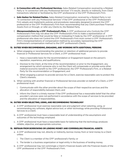- <span id="page-7-0"></span>d. In Connection with any Professional Services. Sales-Related Compensation received by a Related Party is "in connection with any Professional Services" if it results, directly or indirectly, from Client transactions referred or facilitated by the CFP® professional or the CFP® Professional's Firm.
- e. Safe Harbor for Related Parties. Sales-Related Compensation received by a Related Party is not "in connection with any Professional Services" if the CFP® professional or the CFP® Professional's Firm adopts and implements policies and procedures reasonably designed to prevent the CFP® professional or the CFP® Professional's Firm from recommending that any Client purchase Financial Assets from or through, or refer any Clients to, the Related Party.
- f. Misrepresentations by a CFP<sup>®</sup> Professional's Firm. A CFP® professional who Controls the CFP® Professional's Firm may not allow the CFP® Professional's Firm to make a representation of compensation method that would be false or misleading if made by the CFP® professional. A CFP® professional who does not Control the CFP® Professional's Firm must correct a CFP® Professional's Firm's misrepresentations of compensation method by accurately representing the CFP® professional's compensation method to the CFP® professional's Clients.

#### 13. DUTIES WHEN RECOMMENDING, ENGAGING, AND WORKING WITH ADDITIONAL PERSONS

- a. When engaging or recommending the selection or retention of additional persons to provide financial or Professional Services for a Client, a CFP® professional must:
	- i. Have a reasonable basis for the recommendation or Engagement based on the person's reputation, experience, and qualifications;
	- ii. Disclose to the Client, at the time of the recommendation or prior to the Engagement, any arrangement by which someone who is not the Client will compensate or provide some other material economic benefit to the CFP® professional, the CFP® Professional's Firm, or a Related Party for the recommendation or Engagement; and
	- iii. When engaging a person to provide services for a Client, exercise reasonable care to protect the Client's interests.
- b. When working with another financial or Professional Services provider on behalf of a Client, a CFP® professional must:
	- i. Communicate with the other provider about the scope of their respective services and the allocation of responsibility between them; and
	- ii. Inform the Client in a timely manner if the CFP® professional has a reasonable belief that the other provider's services were not performed in accordance with the scope of services to be provided and the allocation of responsibilities.

#### 14. DUTIES WHEN SELECTING, USING, AND RECOMMENDING TECHNOLOGY

- a. A CFP® professional must exercise reasonable care and judgment when selecting, using, or recommending any software, digital advice tool, or other technology while providing Professional Services to a Client.
- b. A CFP® professional must have a reasonable level of understanding of the assumptions and outcomes of the technology employed.
- c. A CFP® professional must have a reasonable basis for believing that the technology produces reliable, objective, and appropriate outcomes.

#### 15. REFRAIN FROM BORROWING OR LENDING MONEY AND COMMINGLING FINANCIAL ASSETS

- a. A CFP® professional may not, directly or indirectly, borrow money from or lend money to a Client unless:
	- i. The Client is a member of the CFP® professional's Family; or
	- ii. The lender is a business organization or legal entity in the business of lending money.
- b. A CFP® professional may not commingle a Client's Financial Assets with the Financial Assets of the CFP® professional or the CFP® Professional's Firm.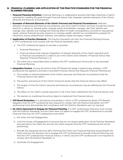# <span id="page-8-0"></span>B. FINANCIAL PLANNING AND APPLICATION OF THE PRACTICE STANDARDS FOR THE FINANCIAL PLANNING PROCESS

- 1. Financial Planning Definition. Financial Planning is a collaborative process that helps maximize a Client's potential for meeting life goals through Financial Advice that integrates relevant elements of the Client's personal and financial circumstances.
- 2. Examples of Relevant Elements of the Client's Personal and Financial Circumstances. Relevant elements of personal and financial circumstances vary from Client to Client, and may include the Client's need for or desire to: develop goals, manage assets and liabilities, manage cash flow, identify and manage risks, identify and manage the financial effect of health considerations, provide for educational needs, achieve financial security, preserve or increase wealth, identify tax considerations, prepare for retirement, pursue philanthropic interests, and address estate and legacy matters.
- 3. **Application of Practice Standards.** The Practice Standards set forth the Financial Planning Process. A CFP® professional must comply with the Practice Standards when:
	- a. The CFP® professional agrees to provide or provides:
		- i. Financial Planning; or
		- ii. Financial Advice that requires integration of relevant elements of the Client's personal and/ or financial circumstances in order to act in the Client's best interests ("Financial Advice that Requires Financial Planning"); or
	- b. The Client has a reasonable basis to believe the CFP® professional will provide or has provided Financial Planning.
- 4. **Integration Factors.** Among the factors that CFP Board will weigh in determining whether a CFP® professional has agreed to provide or provided Financial Advice that Requires Financial Planning are:
	- a. The number of relevant elements of the Client's personal and financial circumstances that the Financial Advice may affect;
	- b. The portion and amount of the Client's Financial Assets that the Financial Advice may affect;
	- c. The length of time the Client's personal and financial circumstances may be affected by the Financial Advice;
	- d. The effect on the Client's overall exposure to risk if the Client implements the Financial Advice; and
	- e. The barriers to modifying the actions taken to implement the Financial Advice.
- 5. **CFP Board Evaluation.** In a disciplinary proceeding in which a CFP® professional denies CFP Board's allegation that the  $\text{CFP}^{\circ}$  professional was required to comply with the Practice Standards, the CFP $^{\circ}$ professional must demonstrate that compliance with the Practice Standards was not required.
- 6. No Client Agreement to Engage for Financial Planning. If a CFP® professional otherwise must comply with the Practice Standards, but the Client does not agree to engage the CFP® professional to provide Financial Planning, the CFP® professional must either:
	- a. Not enter into the Engagement;
	- b. Limit the Scope of Engagement to services that do not require application of the Practice Standards, and describe to the Client the services the Client requests that the CFP® professional will not be performing;
	- c. Provide the requested services after informing the Client how Financial Planning would benefit the Client and how the decision not to engage the CFP® professional to provide Financial Planning may limit the CFP® professional's Financial Advice, in which case the CFP® professional is not required to comply with the Practice Standards; or
	- d. Terminate the Engagement.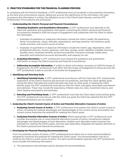# <span id="page-9-0"></span>C. PRACTICE STANDARDS FOR THE FINANCIAL PLANNING PROCESS

In complying with the Practice Standards, a CFP® professional must act prudently in documenting information, as the facts and circumstances require, taking into account the significance of the information, the need to preserve the information in writing, the obligation to act in the Client's best interests, and the CFP® Professional's Firm's policies and procedures.

- 1. Understanding the Client's Personal and Financial Circumstances
	- a. **Obtaining Qualitative and Quantitative Information.** A CFP® professional must describe to the Client the qualitative and quantitative information concerning the Client's personal and financial circumstances needed to fulfill the Scope of Engagement and collaborate with the Client to obtain the information.
		- i. Examples of qualitative or subjective information include the Client's health, life expectancy, family circumstances, values, attitudes, expectations, earnings potential, risk tolerance, goals, needs, priorities, and current course of action.
		- ii. Examples of quantitative or objective information include the Client's age, dependents, other professional advisors, income, expenses, cash flow, savings, assets, liabilities, available resources, liquidity, taxes, employee benefits, government benefits, insurance coverage, estate plans, education and retirement accounts and benefits, and capacity for risk.
	- b. **Analyzing Information.** A CFP® professional must analyze the qualitative and quantitative information to assess the Client's personal and financial circumstances.
	- c. **Addressing Incomplete Information.** If unable to obtain information necessary to fulfill the Scope of Engagement, the CFP® professional must either limit the Scope of Engagement to those services the CFP® professional is able to provide or terminate the Engagement.

#### 2. Identifying and Selecting Goals

- a. **Identifying Potential Goals.** A CFP® professional must discuss with the Client the CFP® professional's assessment of the Client's financial and personal circumstances, and help the Client identify goals, noting the effect that selecting a particular goal may have on other goals. In helping the Client identify goals, the CFP® professional must discuss with the Client, and apply, reasonable assumptions and estimates. These may include life expectancy, inflation rates, tax rates, investment returns, and other Material assumptions and estimates.
- b. **Selecting and Prioritizing Goals.** A CFP® professional must help the Client select and prioritize goals. The CFP® professional must discuss with the Client any goals the Client has selected that the CFP® professional believes are not realistic.

# 3. Analyzing the Client's Current Course of Action and Potential Alternative Course(s) of Action

- a. **Analyzing Current Course of Action.** A CFP® professional must analyze the Client's current course of action, including the material advantages and disadvantages of the current course and whether the current course maximizes the potential for meeting the Client's goals.
- b. Analyzing Potential Alternative Courses of Action. Where appropriate, a CFP® professional must consider and analyze one or more potential alternative courses of action, including the material advantages and disadvantages of each alternative, whether each alternative helps maximize the potential for meeting the Client's goals, and how each alternative integrates the relevant elements of the Client's personal and financial circumstances.

#### 4. Developing the Financial Planning Recommendation(s)

From the potential courses of action, a CFP® professional must select one or more recommendations designed to maximize the potential for meeting the Client's goals. The recommendation may be to continue the Client's current course of action. For each recommendation selected, the CFP® professional must consider the following information:

a. The assumptions and estimates used to develop the recommendation;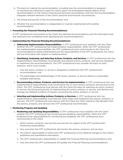- <span id="page-10-0"></span>b. The basis for making the recommendation, including how the recommendation is designed to maximize the potential to meet the Client's goals, the anticipated material effects of the recommendation on the Client's financial and personal circumstances, and how the recommendation integrates relevant elements of the Client's personal and financial circumstances;
- c. The timing and priority of the recommendation; and
- d. Whether the recommendation is independent or must be implemented with another recommendation.

# 5. Presenting the Financial Planning Recommendation(s)

A CFP® professional must present to the Client the selected recommendations and the information that was required to be considered when developing the recommendation(s).

#### 6. Implementing the Financial Planning Recommendation(s)

- a. **Addressing Implementation Responsibilities.** A CFP® professional must establish with the Client whether the CFP® professional has implementation responsibilities. When the CFP® professional has implementation responsibilities, the CFP® professional must communicate to the Client the recommendation(s) being implemented and the responsibilities of the CFP® professional, the Client, and any third party with respect to implementation.
- b. **Identifying, Analyzing, and Selecting Actions, Products, and Services.** A CFP® professional who has implementation responsibilities must identify and analyze actions, products, and services designed to implement the recommendations. The CFP® professional must consider the basis for each selection, which must include:
	- i. How the action, product, or service is designed to implement the  $\mathsf{C}\mathsf{F}\mathsf{P}^{\mathsf{B}}$  professional's recommendation; and
	- ii. The advantages and disadvantages of the action, product, or service relative to reasonably available alternatives.
- c. Recommending Actions, Products, and Services for Implementation. A CFP® professional who has implementation responsibilities must recommend one or more actions, products and services to the Client. The CFP® professional must discuss with the Client the basis for selecting an action, product, or service, the timing and priority of implementing the action, product, or service, and disclose and manage any Material Conflicts of Interest concerning the action, product, or service.
- d. Selecting and Implementing Actions, Products, or Services. A CFP® professional who has implementation responsibilities must help the Client select and implement the actions, products, or services. The CFP® professional must discuss with the Client any Client selection that deviates from the actions, products, and services the CFP® professional recommended.

#### 7. Monitoring Progress and Updating

- a. Monitoring and Updating Responsibilities. A CFP® professional must establish with the Client whether the CFP® professional has monitoring and updating responsibilities. When the CFP® professional has responsibilities for monitoring and updating, the CFP® professional must communicate to the Client:
	- i. Which actions, products, and services are and are not subject to the  $\text{CFP}^*$  professional's monitoring responsibility;
	- ii. How and when the CFP® professional will monitor the actions, products, and services;
	- iii. The Client's responsibility to inform the CFP® professional of any Material changes to the Client's qualitative and quantitative information;
	- iv. The CFP® professional's responsibility to update the Financial Planning recommendations; and
	- v. How and when the CFP® professional will update the Financial Planning recommendations.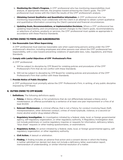- <span id="page-11-0"></span>b. **Monitoring the Client's Progress.** A CFP® professional who has monitoring responsibilities must analyze, at appropriate intervals, the progress toward achieving the Client's goals. The CFP<sup>®</sup> professional must review with the Client the results of the CFP® professional's analysis.
- c. **Obtaining Current Qualitative and Quantitative Information.** A CFP® professional who has monitoring responsibility must collaborate with the Client in an attempt to obtain current qualitative and quantitative information concerning the Client's personal and financial circumstances.
- d. Updating Goals, Recommendations, or Implementation Decisions. Where a CFP® professional has updating responsibility, and circumstances warrant changes to the Client's goals, recommendations, or selections of actions, products or services, the CFP® professional must update as appropriate in accordance with these Practice Standards.

# D. DUTIES OWED TO FIRMS AND SUBORDINATES

#### 1. Use Reasonable Care When Supervising

A CFP® professional must exercise reasonable care when supervising persons acting under the CFP® professional's direction, including employees and other persons over whom the CFP® professional has responsibility, with a view toward preventing violations of applicable laws, rules, regulations, and these Standards.

# 2. Comply with Lawful Objectives of CFP® Professional's Firm

A CFP® professional:

- a. Will be subject to discipline by CFP Board for violating policies and procedures of the CFP® Professional's Firm that do not conflict with these Standards.
- b. Will not be subject to discipline by CFP Board for violating policies and procedures of the CFP® Professional's Firm that conflict with these Standards.

#### 3. Provide Notice of Public Discipline

A CFP® professional must promptly advise the CFP® Professional's Firm, in writing, of any public discipline imposed by CFP Board.

# E. DUTIES OWED TO CFP BOARD

- 1. Definitions. The following definitions apply:
	- a. **Felony.** A felony offense, or for jurisdictions that do not differentiate between a felony and a misdemeanor, an offense punishable by a sentence of at least one-year imprisonment or a fine of at least \$1,000.
	- b. **Relevant Misdemeanor.** A criminal offense, that is not a Felony, for conduct involving fraud, theft, misrepresentation, other dishonest conduct, crimes of moral turpitude, violence, or a second (or more) alcohol and/or drug-related offense.
	- c. Regulatory Investigation. An investigation initiated by a federal, state, local, or foreign governmental agency, self-regulatory organization, or other regulatory authority. A Regulatory Investigation does not include preliminary or routine regulatory inquiries or requests for information, deficiency letters, "blue sheet" requests or other trading questionnaires, or examinations.
	- d. **Regulatory Action.** An action initiated by a federal, state, local, or foreign governmental agency, selfregulatory organization, or other regulatory authority.
	- e. **Civil Action.** A lawsuit or arbitration.
	- f. Finding. A finding includes an adverse final action and a consent decree in which the finding is neither admitted nor denied, but does not include a deficiency letter, examination report, memorandum of understanding, or similar informal resolution of a matter.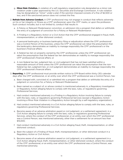- <span id="page-12-0"></span>g. **Minor Rule Violation.** A violation of a self-regulatory organization rule designated as a minor rule violation under a plan approved by the U.S. Securities and Exchange Commission. A rule violation may be designated as "minor" under a plan if the sanction imposed consists of a fine of \$2,500 or less, and if the sanctioned person does not contest the fine.
- 2. **Refrain from Adverse Conduct.** A CFP® professional may not engage in conduct that reflects adversely on his or her integrity or fitness as a CFP® professional, upon the CFP® marks, or upon the profession. Such conduct includes, but is not limited to, conduct that results in:
	- a. A Felony or Relevant Misdemeanor conviction, or admission into a program that defers or withholds the entry of a judgment of conviction for a Felony or Relevant Misdemeanor;
	- b. A Finding in a Regulatory Action or a Civil Action that the CFP® professional engaged in fraud, theft, misrepresentation, or other dishonest conduct;
	- c. A personal bankruptcy or business bankruptcy filing or adjudication where the CFP® professional was a Control Person of the business, unless the CFP® professional can rebut the presumption that the bankruptcy demonstrates an inability to manage responsibly the CFP® professional's or the business's financial affairs;
	- d. A federal tax lien on property owned by the CFP® professional, unless the CFP® professional can rebut the presumption that the federal tax lien demonstrates an inability to manage responsibly the CFP® professional's financial affairs; or
	- e. A non-federal tax lien, judgment lien, or civil judgment that has not been satisfied within a reasonable amount of time unless the CFP® professional can rebut the presumption that the nonfederal tax lien, judgment lien, or civil judgment demonstrates an inability to manage responsibly the CFP® professional's financial affairs.
- 3. Reporting. A CFP® professional must provide written notice to CFP Board within thirty (30) calendar days after the CFP® professional, or an entity over which the CFP® professional was a Control Person, has:
	- a. Been charged with, convicted of, or admitted into a program that defers or withholds the entry of a judgment or conviction for, a Felony or Relevant Misdemeanor;
	- b. Been named as a subject of, or whose conduct is mentioned adversely in, a Regulatory Investigation or Regulatory Action alleging failure to comply with the laws, rules, or regulations governing Professional Services;
	- c. Had conduct mentioned adversely in a Finding in a Regulatory Action involving failure to comply with the laws, rules, or regulations governing Professional Services (except a Regulatory Action involving a Minor Rule Violation in a Regulatory Action brought by a self-regulatory organization);
	- d. Had conduct mentioned adversely in a Civil Action alleging failure to comply with the laws, rules, or regulations governing Professional Services;
	- e. Become aware of an adverse arbitration award or civil judgment, or a settlement agreement, in a Civil Action alleging failure to comply with the laws, rules, or regulations governing Professional Services, where the conduct of the CFP® professional, or an entity over which the CFP® professional was a Control Person, was mentioned adversely, other than a settlement for an amount less than \$15,000;
	- f. Had conduct mentioned adversely in a Civil Action alleging fraud, theft, misrepresentation, or other dishonest conduct;
	- g. Been the subject of a Finding of fraud, theft, misrepresentation, or other dishonest conduct in a Regulatory Action or Civil Action;
	- h. Become aware of an adverse arbitration award or civil judgment, or a settlement agreement in a Civil Action alleging fraud, theft, misrepresentation, or other dishonest conduct, where the conduct of the CFP® professional, or an entity over which the CFP® professional was a Control Person, was mentioned adversely;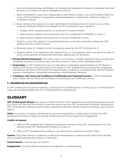- <span id="page-13-0"></span>i. Had a professional license, certification, or membership suspended, revoked, or materially restricted because of a violation of rules or standards of conduct;
- j. Been terminated for cause from employment or permitted to resign in lieu of termination when the cause of the termination or resignation involved allegations of dishonesty, unethical conduct, or compliance failures;
- k. Been named as the subject of, or been identified as the broker/adviser of record in, any written, customer-initiated complaint that alleged the CFP® professional was involved in:
	- i. Forgery, theft, misappropriation, or conversion of Financial Assets;
	- ii. Sales practice violations and contained a claim for compensation of \$5,000 or more; or
	- iii. Sales practice violations and settled for an amount of \$15,000 or more.
- l. Filed for or been the subject of a personal bankruptcy or business bankruptcy where the CFP<sup>®</sup> professional was a Control Person;
- m. Received notice of a federal tax lien on property owned by the CFP® professional; or
- n. Failed to satisfy a non-federal tax lien, judgment lien, or civil judgment within one year of its date of entry, unless payment arrangements have been agreed upon by all parties.
- 4. **Provide Narrative Statement.** The written notice must include a narrative statement that accurately and completely describes the Material facts and the outcome or status of the reportable matter.
- 5. **Cooperation.** A CFP® professional may not make false or misleading representations to CFP Board or obstruct CFP Board in the performance of its duties. A CFP® professional must satisfy the cooperation requirements set forth in CFP Board's *Procedural Rules*, including by cooperating fully with CFP Board's requests, investigations, disciplinary proceedings, and disciplinary decisions.
- 6. Compliance with *Terms and Conditions of Certification and Trademark License.* A CFP® professional must comply with the *Terms and Conditions of Certification and Trademark License*.

# F. PROHIBITION ON CIRCUMVENTION

A CFP® professional may not do indirectly, or through or by another person or entity, any act or thing that the *Code and Standards* prohibit the CFP® professional from doing directly.

# GLOSSARY

CFP<sup>®</sup> Professional's Firm(s). Any entity on behalf of which a CFP® professional provides Professional Services to a Client, and that has the authority to exercise control over the CFP® professional's activities, including the CFP® professional's employer, broker-dealer, registered investment adviser, insurance company, and insurance agency.

**Client.** Any person, including a natural person, business organization, or legal entity, to whom the CFP<sup>®</sup> professional provides or agrees to provide Professional Services pursuant to an Engagement.

# Conflict of Interest.

- a. When a CFP® professional's interests (including the interests of the CFP® Professional's Firm) are adverse to the CFP® professional's duties to a Client, or
- b. When a CFP® professional has duties to one Client that are adverse to another Client.

Control. The power, directly or indirectly, to direct the management or policies of the entity at the relevant time, through ownership, by contract, or otherwise.

**Control Person.** A person who has Control.

**Engagement.** An oral or written agreement, arrangement, or understanding.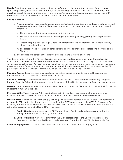**Family.** Grandparent, parent, stepparent, father-in-law/mother-in-law, uncle/aunt, spouse, former spouse, spousal equivalent, domestic partner, brother/sister, stepsibling, brother-in-law/sister-in-law, cousin, son/ daughter, stepchild, son-in-law/daughter-in law, nephew/niece, grandchild, and any other person the CFP® professional, directly or indirectly, supports financially to a material extent.

# Financial Advice.

- a. A communication that, based on its content, context, and presentation, would reasonably be viewed as a recommendation that the Client take or refrain from taking a particular course of action with respect to:
	- i. The development or implementation of a financial plan;
	- ii. The value of or the advisability of investing in, purchasing, holding, gifting, or selling Financial Assets;
	- iii. Investment policies or strategies, portfolio composition, the management of Financial Assets, or other financial matters; or
	- iv. The selection and retention of other persons to provide financial or Professional Services to the Client; or
- b. The exercise of discretionary authority over the Financial Assets of a Client.

The determination of whether Financial Advice has been provided is an objective rather than subjective inquiry. The more individually tailored the communication is to the Client, the more likely the communication will be viewed as Financial Advice. The provision of services or the furnishing or making available of marketing materials, general financial education materials, or general financial communications that a reasonable CFP® professional would not view as Financial Advice, does not constitute Financial Advice.

Financial Assets. Securities, insurance products, real estate, bank instruments, commodities contracts, derivative contracts, collectibles, or other financial products.

**Financial Planning.** A collaborative process that helps maximize a Client's potential for meeting life goals through Financial Advice that integrates relevant elements of the Client's personal and financial circumstances.

Material. Information is material when a reasonable Client or prospective Client would consider the information important in making a decision.

Professional Services. Financial Advice and related activities and services that are offered or provided, including, but not limited to, Financial Planning, legal, accounting, or business planning services.

Related Party. A person or business entity (including a trust) whose receipt of Sales-Related Compensation a reasonable CFP® professional would view as benefiting the CFP® professional or the CFP® Professional's Firm, including, for example, as a result of the CFP® professional's ownership stake in the business entity. There is a rebuttable presumption that a Related Party includes:

- a. Family Members. A member of the CFP® professional's Family and any business entity that the Family or members of the Family Control; and
- b. **Business Entities.** A business entity that the CFP® professional or the CFP® Professional's Firm Controls, or that is Controlled by or is under common Control with, the CFP® Professional's Firm.

**Scope of Engagement.** The Professional Services to be provided pursuant to an Engagement.